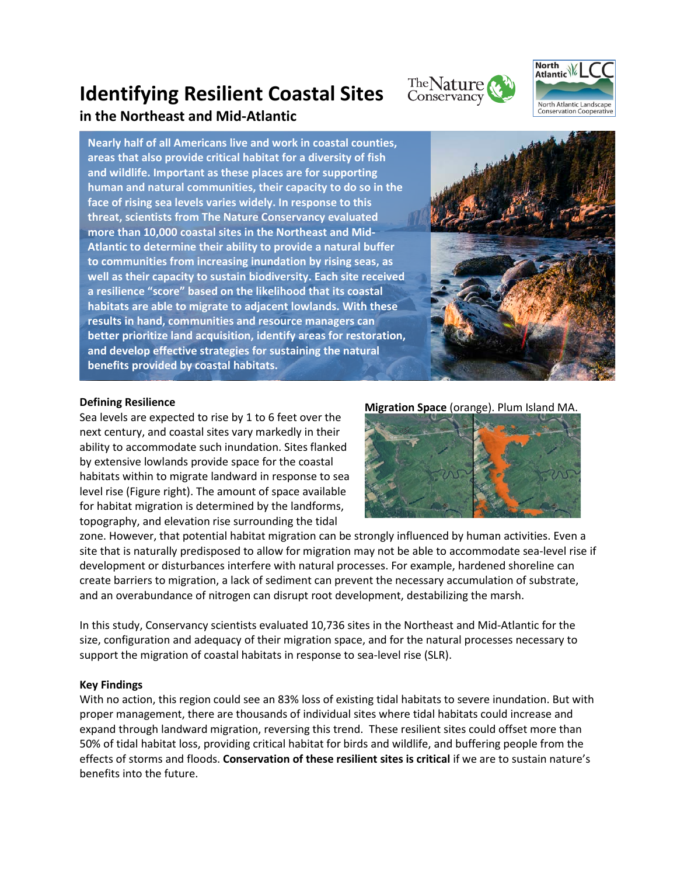# **Identifying Resilient Coastal Sites in the Northeast and Mid-Atlantic**





**Nearly half of all Americans live and work in coastal counties, areas that also provide critical habitat for a diversity of fish and wildlife. Important as these places are for supporting human and natural communities, their capacity to do so in the face of rising sea levels varies widely. In response to this threat, scientists from The Nature Conservancy evaluated more than 10,000 coastal sites in the Northeast and Mid-Atlantic to determine their ability to provide a natural buffer to communities from increasing inundation by rising seas, as well as their capacity to sustain biodiversity. Each site received a resilience "score" based on the likelihood that its coastal habitats are able to migrate to adjacent lowlands. With these results in hand, communities and resource managers can better prioritize land acquisition, identify areas for restoration, and develop effective strategies for sustaining the natural benefits provided by coastal habitats.** 



# **Defining Resilience**

Sea levels are expected to rise by 1 to 6 feet over the next century, and coastal sites vary markedly in their ability to accommodate such inundation. Sites flanked by extensive lowlands provide space for the coastal habitats within to migrate landward in response to sea level rise (Figure right). The amount of space available for habitat migration is determined by the landforms, topography, and elevation rise surrounding the tidal

### **Migration Space** (orange). Plum Island MA.



zone. However, that potential habitat migration can be strongly influenced by human activities. Even a site that is naturally predisposed to allow for migration may not be able to accommodate sea-level rise if development or disturbances interfere with natural processes. For example, hardened shoreline can create barriers to migration, a lack of sediment can prevent the necessary accumulation of substrate, and an overabundance of nitrogen can disrupt root development, destabilizing the marsh.

In this study, Conservancy scientists evaluated 10,736 sites in the Northeast and Mid-Atlantic for the size, configuration and adequacy of their migration space, and for the natural processes necessary to support the migration of coastal habitats in response to sea-level rise (SLR).

### **Key Findings**

With no action, this region could see an 83% loss of existing tidal habitats to severe inundation. But with proper management, there are thousands of individual sites where tidal habitats could increase and expand through landward migration, reversing this trend. These resilient sites could offset more than 50% of tidal habitat loss, providing critical habitat for birds and wildlife, and buffering people from the effects of storms and floods. **Conservation of these resilient sites is critical** if we are to sustain nature's benefits into the future.